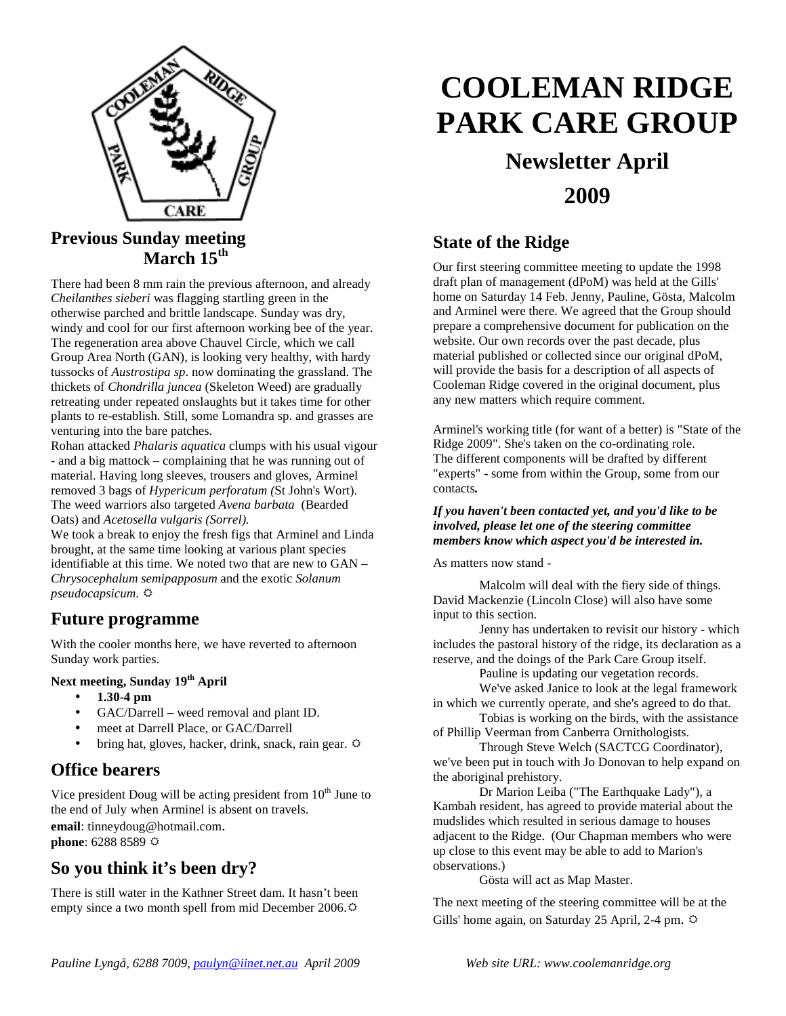

#### **Previous Sunday meeting March 15th**

There had been 8 mm rain the previous afternoon, and already *Cheilanthes sieberi* was flagging startling green in the otherwise parched and brittle landscape. Sunday was dry, windy and cool for our first afternoon working bee of the year. The regeneration area above Chauvel Circle, which we call Group Area North (GAN), is looking very healthy, with hardy tussocks of *Austrostipa sp*. now dominating the grassland. The thickets of *Chondrilla juncea* (Skeleton Weed) are gradually retreating under repeated onslaughts but it takes time for other plants to re-establish. Still, some Lomandra sp. and grasses are venturing into the bare patches.

Rohan attacked *Phalaris aquatica* clumps with his usual vigour - and a big mattock – complaining that he was running out of material. Having long sleeves, trousers and gloves, Arminel removed 3 bags of *Hypericum perforatum (*St John's Wort). The weed warriors also targeted *Avena barbata* (Bearded Oats) and *Acetosella vulgaris (Sorrel).* 

We took a break to enjoy the fresh figs that Arminel and Linda brought, at the same time looking at various plant species identifiable at this time. We noted two that are new to GAN – *Chrysocephalum semipapposum* and the exotic *Solanum pseudocapsicum*.

#### **Future programme**

With the cooler months here, we have reverted to afternoon Sunday work parties.

#### **Next meeting, Sunday 19th April**

- **1.30-4 pm**
- GAC/Darrell weed removal and plant ID.
- meet at Darrell Place, or GAC/Darrell
- bring hat, gloves, hacker, drink, snack, rain gear.  $\varphi$

#### **Office bearers**

Vice president Doug will be acting president from  $10<sup>th</sup>$  June to the end of July when Arminel is absent on travels.

**email**: tinneydoug@hotmail.com. **phone**: 6288 8589

#### **So you think it's been dry?**

There is still water in the Kathner Street dam. It hasn't been empty since a two month spell from mid December 2006.

# **COOLEMAN RIDGE PARK CARE GROUP**

## **Newsletter April 2009**

#### **State of the Ridge**

Our first steering committee meeting to update the 1998 draft plan of management (dPoM) was held at the Gills' home on Saturday 14 Feb. Jenny, Pauline, Gösta, Malcolm and Arminel were there. We agreed that the Group should prepare a comprehensive document for publication on the website. Our own records over the past decade, plus material published or collected since our original dPoM, will provide the basis for a description of all aspects of Cooleman Ridge covered in the original document, plus any new matters which require comment.

Arminel's working title (for want of a better) is "State of the Ridge 2009". She's taken on the co-ordinating role. The different components will be drafted by different "experts" - some from within the Group, some from our contacts*.* 

#### *If you haven't been contacted yet, and you'd like to be involved, please let one of the steering committee members know which aspect you'd be interested in.*

As matters now stand -

 Malcolm will deal with the fiery side of things. David Mackenzie (Lincoln Close) will also have some input to this section.

 Jenny has undertaken to revisit our history - which includes the pastoral history of the ridge, its declaration as a reserve, and the doings of the Park Care Group itself.

Pauline is updating our vegetation records.

 We've asked Janice to look at the legal framework in which we currently operate, and she's agreed to do that.

 Tobias is working on the birds, with the assistance of Phillip Veerman from Canberra Ornithologists.

 Through Steve Welch (SACTCG Coordinator), we've been put in touch with Jo Donovan to help expand on the aboriginal prehistory.

 Dr Marion Leiba ("The Earthquake Lady"), a Kambah resident, has agreed to provide material about the mudslides which resulted in serious damage to houses adjacent to the Ridge. (Our Chapman members who were up close to this event may be able to add to Marion's observations.)

Gösta will act as Map Master.

The next meeting of the steering committee will be at the Gills' home again, on Saturday 25 April, 2-4 pm.